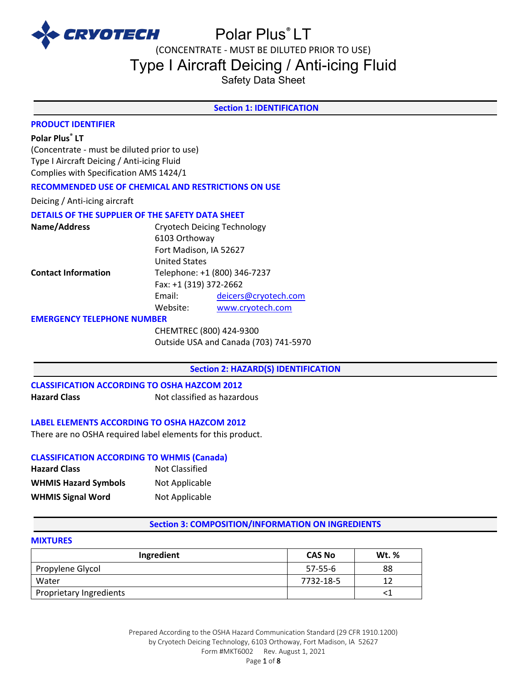

(CONCENTRATE - MUST BE DILUTED PRIOR TO USE)

Type I Aircraft Deicing / Anti-icing Fluid

Safety Data Sheet

### **Section 1: IDENTIFICATION**

#### **PRODUCT IDENTIFIER**

# **Polar Plus® LT**

(Concentrate - must be diluted prior to use) Type I Aircraft Deicing / Anti-icing Fluid Complies with Specification AMS 1424/1

#### **RECOMMENDED USE OF CHEMICAL AND RESTRICTIONS ON USE**

Deicing / Anti-icing aircraft

# **DETAILS OF THE SUPPLIER OF THE SAFETY DATA SHEET**

| Name/Address               | <b>Cryotech Deicing Technology</b> |                      |
|----------------------------|------------------------------------|----------------------|
|                            | 6103 Orthoway                      |                      |
|                            | Fort Madison, IA 52627             |                      |
|                            | <b>United States</b>               |                      |
| <b>Contact Information</b> | Telephone: +1 (800) 346-7237       |                      |
|                            | Fax: +1 (319) 372-2662             |                      |
|                            | Email:                             | deicers@cryotech.com |
|                            | Website:                           | www.cryotech.com     |

#### **EMERGENCY TELEPHONE NUMBER**

CHEMTREC (800) 424-9300 Outside USA and Canada (703) 741-5970

# **Section 2: HAZARD(S) IDENTIFICATION**

# **CLASSIFICATION ACCORDING TO OSHA HAZCOM 2012 Hazard Class Not classified as hazardous**

#### **LABEL ELEMENTS ACCORDING TO OSHA HAZCOM 2012**

There are no OSHA required label elements for this product.

#### **CLASSIFICATION ACCORDING TO WHMIS (Canada)**

| <b>Hazard Class</b>         | <b>Not Classified</b> |
|-----------------------------|-----------------------|
| <b>WHMIS Hazard Symbols</b> | Not Applicable        |
| <b>WHMIS Signal Word</b>    | Not Applicable        |

#### **Section 3: COMPOSITION/INFORMATION ON INGREDIENTS**

# **MIXTURES**

| Ingredient              | <b>CAS No</b> | Wt. % |
|-------------------------|---------------|-------|
| Propylene Glycol        | $57-55-6$     | 88    |
| Water                   | 7732-18-5     |       |
| Proprietary Ingredients |               |       |

Prepared According to the OSHA Hazard Communication Standard (29 CFR 1910.1200) by Cryotech Deicing Technology, 6103 Orthoway, Fort Madison, IA 52627 Form #MKT6002 Rev. August 1, 2021 Page 1 of 8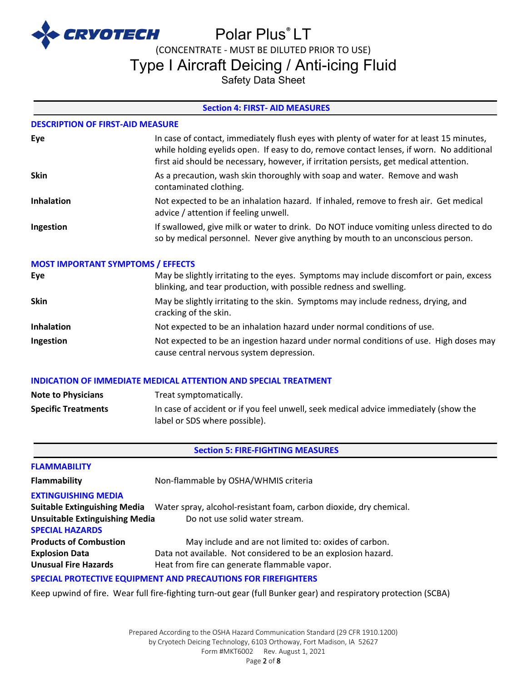

(CONCENTRATE - MUST BE DILUTED PRIOR TO USE)

Type I Aircraft Deicing / Anti-icing Fluid

Safety Data Sheet

# **Section 4: FIRST- AID MEASURES**

#### **DESCRIPTION OF FIRST-AID MEASURE**

| Eye               | In case of contact, immediately flush eyes with plenty of water for at least 15 minutes,<br>while holding eyelids open. If easy to do, remove contact lenses, if worn. No additional<br>first aid should be necessary, however, if irritation persists, get medical attention. |
|-------------------|--------------------------------------------------------------------------------------------------------------------------------------------------------------------------------------------------------------------------------------------------------------------------------|
| <b>Skin</b>       | As a precaution, wash skin thoroughly with soap and water. Remove and wash<br>contaminated clothing.                                                                                                                                                                           |
| <b>Inhalation</b> | Not expected to be an inhalation hazard. If inhaled, remove to fresh air. Get medical<br>advice / attention if feeling unwell.                                                                                                                                                 |
| Ingestion         | If swallowed, give milk or water to drink. Do NOT induce vomiting unless directed to do<br>so by medical personnel. Never give anything by mouth to an unconscious person.                                                                                                     |

#### **MOST IMPORTANT SYMPTOMS / EFFECTS**

| Eye               | May be slightly irritating to the eyes. Symptoms may include discomfort or pain, excess<br>blinking, and tear production, with possible redness and swelling. |
|-------------------|---------------------------------------------------------------------------------------------------------------------------------------------------------------|
| <b>Skin</b>       | May be slightly irritating to the skin. Symptoms may include redness, drying, and<br>cracking of the skin.                                                    |
| <b>Inhalation</b> | Not expected to be an inhalation hazard under normal conditions of use.                                                                                       |
| Ingestion         | Not expected to be an ingestion hazard under normal conditions of use. High doses may<br>cause central nervous system depression.                             |

#### **INDICATION OF IMMEDIATE MEDICAL ATTENTION AND SPECIAL TREATMENT**

| <b>Note to Physicians</b>  | Treat symptomatically.                                                                                                |
|----------------------------|-----------------------------------------------------------------------------------------------------------------------|
| <b>Specific Treatments</b> | In case of accident or if you feel unwell, seek medical advice immediately (show the<br>label or SDS where possible). |

# **Section 5: FIRE-FIGHTING MEASURES**

| <b>FLAMMABILITY</b>                                                     |                                                                    |  |
|-------------------------------------------------------------------------|--------------------------------------------------------------------|--|
| <b>Flammability</b>                                                     | Non-flammable by OSHA/WHMIS criteria                               |  |
| <b>EXTINGUISHING MEDIA</b>                                              |                                                                    |  |
| <b>Suitable Extinguishing Media</b>                                     | Water spray, alcohol-resistant foam, carbon dioxide, dry chemical. |  |
| <b>Unsuitable Extinguishing Media</b><br>Do not use solid water stream. |                                                                    |  |
| <b>SPECIAL HAZARDS</b>                                                  |                                                                    |  |
| <b>Products of Combustion</b>                                           | May include and are not limited to: oxides of carbon.              |  |
| <b>Explosion Data</b>                                                   | Data not available. Not considered to be an explosion hazard.      |  |
| <b>Unusual Fire Hazards</b>                                             | Heat from fire can generate flammable vapor.                       |  |
|                                                                         |                                                                    |  |

#### **SPECIAL PROTECTIVE EQUIPMENT AND PRECAUTIONS FOR FIREFIGHTERS**

Keep upwind of fire. Wear full fire-fighting turn-out gear (full Bunker gear) and respiratory protection (SCBA)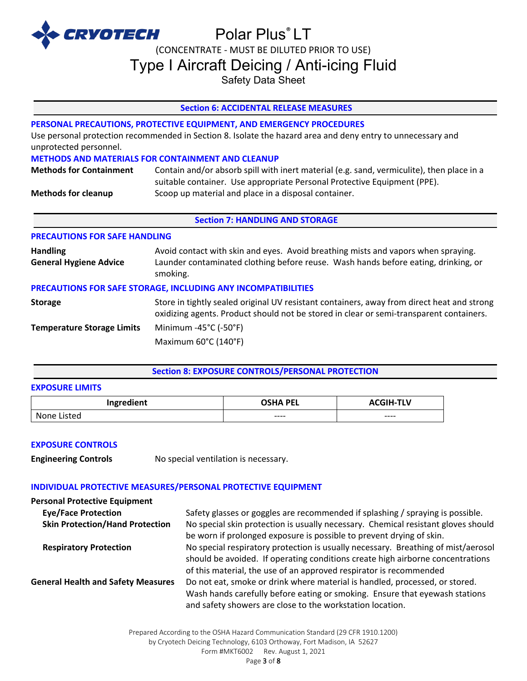

(CONCENTRATE - MUST BE DILUTED PRIOR TO USE)

Type I Aircraft Deicing / Anti-icing Fluid

Safety Data Sheet

# **Section 6: ACCIDENTAL RELEASE MEASURES**

# **PERSONAL PRECAUTIONS, PROTECTIVE EQUIPMENT, AND EMERGENCY PROCEDURES**

Use personal protection recommended in Section 8. Isolate the hazard area and deny entry to unnecessary and unprotected personnel.

### **METHODS AND MATERIALS FOR CONTAINMENT AND CLEANUP**

| <b>Methods for Containment</b> | Contain and/or absorb spill with inert material (e.g. sand, vermiculite), then place in a |
|--------------------------------|-------------------------------------------------------------------------------------------|
|                                | suitable container. Use appropriate Personal Protective Equipment (PPE).                  |
| <b>Methods for cleanup</b>     | Scoop up material and place in a disposal container.                                      |

### **Section 7: HANDLING AND STORAGE**

# **PRECAUTIONS FOR SAFE HANDLING**

| <b>Handling</b><br><b>General Hygiene Advice</b>              | Avoid contact with skin and eyes. Avoid breathing mists and vapors when spraying.<br>Launder contaminated clothing before reuse. Wash hands before eating, drinking, or<br>smoking.   |  |  |
|---------------------------------------------------------------|---------------------------------------------------------------------------------------------------------------------------------------------------------------------------------------|--|--|
| PRECAUTIONS FOR SAFE STORAGE, INCLUDING ANY INCOMPATIBILITIES |                                                                                                                                                                                       |  |  |
| <b>Storage</b>                                                | Store in tightly sealed original UV resistant containers, away from direct heat and strong<br>oxidizing agents. Product should not be stored in clear or semi-transparent containers. |  |  |
| <b>Temperature Storage Limits</b>                             | Minimum -45 $^{\circ}$ C (-50 $^{\circ}$ F)                                                                                                                                           |  |  |
|                                                               | Maximum 60°C (140°F)                                                                                                                                                                  |  |  |

# **Section 8: EXPOSURE CONTROLS/PERSONAL PROTECTION**

#### **EXPOSURE LIMITS**

| Ingredient  | <b>OSHA PEL</b> | <b>ACGIH-TLV</b> |
|-------------|-----------------|------------------|
| None Listed | $--- -$         | $---$            |

### **EXPOSURE CONTROLS**

**Engineering Controls** No special ventilation is necessary.

# **INDIVIDUAL PROTECTIVE MEASURES/PERSONAL PROTECTIVE EQUIPMENT**

| <b>Personal Protective Equipment</b>      |                                                                                                                                                           |
|-------------------------------------------|-----------------------------------------------------------------------------------------------------------------------------------------------------------|
| <b>Eye/Face Protection</b>                | Safety glasses or goggles are recommended if splashing / spraying is possible.                                                                            |
| <b>Skin Protection/Hand Protection</b>    | No special skin protection is usually necessary. Chemical resistant gloves should<br>be worn if prolonged exposure is possible to prevent drying of skin. |
| <b>Respiratory Protection</b>             | No special respiratory protection is usually necessary. Breathing of mist/aerosol                                                                         |
|                                           | should be avoided. If operating conditions create high airborne concentrations                                                                            |
|                                           | of this material, the use of an approved respirator is recommended                                                                                        |
| <b>General Health and Safety Measures</b> | Do not eat, smoke or drink where material is handled, processed, or stored.                                                                               |
|                                           | Wash hands carefully before eating or smoking. Ensure that eyewash stations                                                                               |
|                                           | and safety showers are close to the workstation location.                                                                                                 |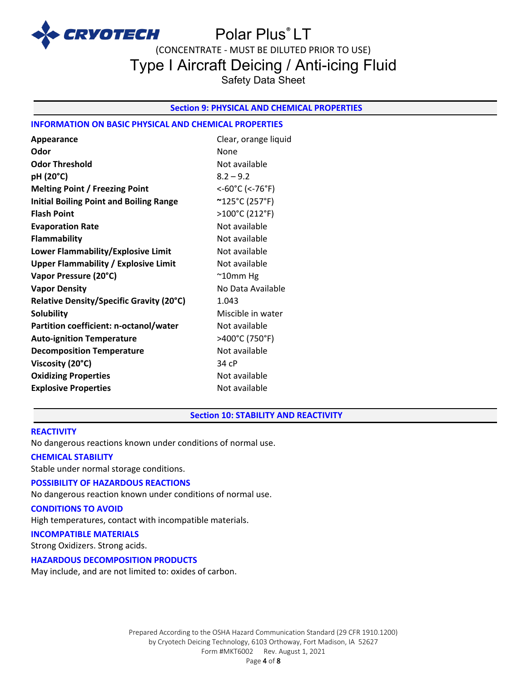

(CONCENTRATE - MUST BE DILUTED PRIOR TO USE)

Type I Aircraft Deicing / Anti-icing Fluid

Safety Data Sheet

### **Section 9: PHYSICAL AND CHEMICAL PROPERTIES**

### **INFORMATION ON BASIC PHYSICAL AND CHEMICAL PROPERTIES**

| Appearance                                     | Clear, orange liquid |
|------------------------------------------------|----------------------|
| Odor                                           | None                 |
| <b>Odor Threshold</b>                          | Not available        |
| pH (20°C)                                      | $8.2 - 9.2$          |
| <b>Melting Point / Freezing Point</b>          | <-60°C (<-76°F)      |
| <b>Initial Boiling Point and Boiling Range</b> | ~125°C (257°F)       |
| <b>Flash Point</b>                             | >100°C (212°F)       |
| <b>Evaporation Rate</b>                        | Not available        |
| <b>Flammability</b>                            | Not available        |
| Lower Flammability/Explosive Limit             | Not available        |
| <b>Upper Flammability / Explosive Limit</b>    | Not available        |
| Vapor Pressure (20°C)                          | $^{\sim}$ 10mm Hg    |
| <b>Vapor Density</b>                           | No Data Available    |
| Relative Density/Specific Gravity (20°C)       | 1.043                |
| <b>Solubility</b>                              | Miscible in water    |
| Partition coefficient: n-octanol/water         | Not available        |
| <b>Auto-ignition Temperature</b>               | >400°C (750°F)       |
| <b>Decomposition Temperature</b>               | Not available        |
| Viscosity (20°C)                               | 34 cP                |
| <b>Oxidizing Properties</b>                    | Not available        |
| <b>Explosive Properties</b>                    | Not available        |

#### **Section 10: STABILITY AND REACTIVITY**

#### **REACTIVITY**

No dangerous reactions known under conditions of normal use.

#### **CHEMICAL STABILITY**

Stable under normal storage conditions.

#### **POSSIBILITY OF HAZARDOUS REACTIONS**

No dangerous reaction known under conditions of normal use.

# **CONDITIONS TO AVOID**

High temperatures, contact with incompatible materials.

#### **INCOMPATIBLE MATERIALS**

Strong Oxidizers. Strong acids.

#### **HAZARDOUS DECOMPOSITION PRODUCTS**

May include, and are not limited to: oxides of carbon.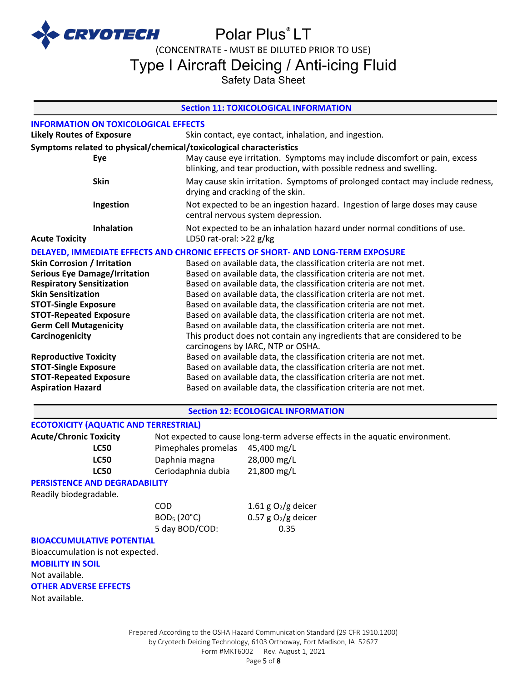

# Polar Plus<sup>®</sup> LT

(CONCENTRATE - MUST BE DILUTED PRIOR TO USE)

Type I Aircraft Deicing / Anti-icing Fluid

Safety Data Sheet

#### **Section 11: TOXICOLOGICAL INFORMATION**

| <b>INFORMATION ON TOXICOLOGICAL EFFECTS</b>                                                                                                                                                                                                                                                                                                                                                 |                                                            |                                                                                                                                                                                                                                                                                                                                                                                                                                                                                                                                                                                                                                                                                                                                                                                                                                                                                                     |  |  |
|---------------------------------------------------------------------------------------------------------------------------------------------------------------------------------------------------------------------------------------------------------------------------------------------------------------------------------------------------------------------------------------------|------------------------------------------------------------|-----------------------------------------------------------------------------------------------------------------------------------------------------------------------------------------------------------------------------------------------------------------------------------------------------------------------------------------------------------------------------------------------------------------------------------------------------------------------------------------------------------------------------------------------------------------------------------------------------------------------------------------------------------------------------------------------------------------------------------------------------------------------------------------------------------------------------------------------------------------------------------------------------|--|--|
| <b>Likely Routes of Exposure</b><br>Skin contact, eye contact, inhalation, and ingestion.                                                                                                                                                                                                                                                                                                   |                                                            |                                                                                                                                                                                                                                                                                                                                                                                                                                                                                                                                                                                                                                                                                                                                                                                                                                                                                                     |  |  |
| Symptoms related to physical/chemical/toxicological characteristics<br>May cause eye irritation. Symptoms may include discomfort or pain, excess<br>Eye                                                                                                                                                                                                                                     |                                                            |                                                                                                                                                                                                                                                                                                                                                                                                                                                                                                                                                                                                                                                                                                                                                                                                                                                                                                     |  |  |
|                                                                                                                                                                                                                                                                                                                                                                                             |                                                            | blinking, and tear production, with possible redness and swelling.                                                                                                                                                                                                                                                                                                                                                                                                                                                                                                                                                                                                                                                                                                                                                                                                                                  |  |  |
| <b>Skin</b>                                                                                                                                                                                                                                                                                                                                                                                 |                                                            | May cause skin irritation. Symptoms of prolonged contact may include redness,<br>drying and cracking of the skin.                                                                                                                                                                                                                                                                                                                                                                                                                                                                                                                                                                                                                                                                                                                                                                                   |  |  |
| Ingestion                                                                                                                                                                                                                                                                                                                                                                                   |                                                            | Not expected to be an ingestion hazard. Ingestion of large doses may cause<br>central nervous system depression.                                                                                                                                                                                                                                                                                                                                                                                                                                                                                                                                                                                                                                                                                                                                                                                    |  |  |
| <b>Inhalation</b><br><b>Acute Toxicity</b>                                                                                                                                                                                                                                                                                                                                                  |                                                            | Not expected to be an inhalation hazard under normal conditions of use.<br>LD50 rat-oral: >22 g/kg                                                                                                                                                                                                                                                                                                                                                                                                                                                                                                                                                                                                                                                                                                                                                                                                  |  |  |
|                                                                                                                                                                                                                                                                                                                                                                                             |                                                            | DELAYED, IMMEDIATE EFFECTS AND CHRONIC EFFECTS OF SHORT- AND LONG-TERM EXPOSURE                                                                                                                                                                                                                                                                                                                                                                                                                                                                                                                                                                                                                                                                                                                                                                                                                     |  |  |
| <b>Skin Corrosion / Irritation</b><br><b>Serious Eye Damage/Irritation</b><br><b>Respiratory Sensitization</b><br><b>Skin Sensitization</b><br><b>STOT-Single Exposure</b><br><b>STOT-Repeated Exposure</b><br><b>Germ Cell Mutagenicity</b><br>Carcinogenicity<br><b>Reproductive Toxicity</b><br><b>STOT-Single Exposure</b><br><b>STOT-Repeated Exposure</b><br><b>Aspiration Hazard</b> |                                                            | Based on available data, the classification criteria are not met.<br>Based on available data, the classification criteria are not met.<br>Based on available data, the classification criteria are not met.<br>Based on available data, the classification criteria are not met.<br>Based on available data, the classification criteria are not met.<br>Based on available data, the classification criteria are not met.<br>Based on available data, the classification criteria are not met.<br>This product does not contain any ingredients that are considered to be<br>carcinogens by IARC, NTP or OSHA.<br>Based on available data, the classification criteria are not met.<br>Based on available data, the classification criteria are not met.<br>Based on available data, the classification criteria are not met.<br>Based on available data, the classification criteria are not met. |  |  |
|                                                                                                                                                                                                                                                                                                                                                                                             |                                                            | <b>Section 12: ECOLOGICAL INFORMATION</b>                                                                                                                                                                                                                                                                                                                                                                                                                                                                                                                                                                                                                                                                                                                                                                                                                                                           |  |  |
| <b>ECOTOXICITY (AQUATIC AND TERRESTRIAL)</b>                                                                                                                                                                                                                                                                                                                                                |                                                            |                                                                                                                                                                                                                                                                                                                                                                                                                                                                                                                                                                                                                                                                                                                                                                                                                                                                                                     |  |  |
| <b>Acute/Chronic Toxicity</b><br><b>LC50</b><br><b>LC50</b><br><b>LC50</b>                                                                                                                                                                                                                                                                                                                  | Pimephales promelas<br>Daphnia magna<br>Ceriodaphnia dubia | Not expected to cause long-term adverse effects in the aquatic environment.<br>45,400 mg/L<br>28,000 mg/L<br>21,800 mg/L                                                                                                                                                                                                                                                                                                                                                                                                                                                                                                                                                                                                                                                                                                                                                                            |  |  |
| <b>PERSISTENCE AND DEGRADABILITY</b>                                                                                                                                                                                                                                                                                                                                                        |                                                            |                                                                                                                                                                                                                                                                                                                                                                                                                                                                                                                                                                                                                                                                                                                                                                                                                                                                                                     |  |  |
| Readily biodegradable.<br><b>BIOACCUMULATIVE POTENTIAL</b><br>Bioaccumulation is not expected.<br><b>MOBILITY IN SOIL</b><br>Not available.<br><b>OTHER ADVERSE EFFECTS</b><br>Not available.                                                                                                                                                                                               | COD<br>BOD <sub>5</sub> (20°C)<br>5 day BOD/COD:           | 1.61 g $O_2/g$ deicer<br>0.57 g $O2/g$ deicer<br>0.35                                                                                                                                                                                                                                                                                                                                                                                                                                                                                                                                                                                                                                                                                                                                                                                                                                               |  |  |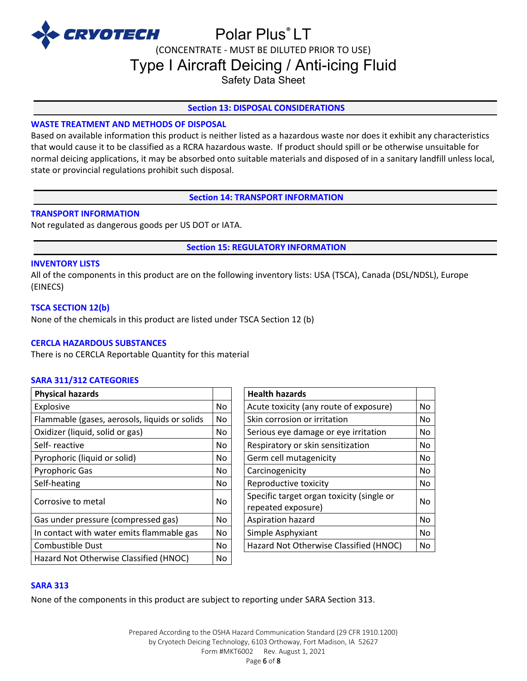

(CONCENTRATE - MUST BE DILUTED PRIOR TO USE)

Type I Aircraft Deicing / Anti-icing Fluid

Safety Data Sheet

# **Section 13: DISPOSAL CONSIDERATIONS**

# **WASTE TREATMENT AND METHODS OF DISPOSAL**

Based on available information this product is neither listed as a hazardous waste nor does it exhibit any characteristics that would cause it to be classified as a RCRA hazardous waste. If product should spill or be otherwise unsuitable for normal deicing applications, it may be absorbed onto suitable materials and disposed of in a sanitary landfill unless local, state or provincial regulations prohibit such disposal.

**Section 14: TRANSPORT INFORMATION**

#### **TRANSPORT INFORMATION**

Not regulated as dangerous goods per US DOT or IATA.

**Section 15: REGULATORY INFORMATION**

#### **INVENTORY LISTS**

All of the components in this product are on the following inventory lists: USA (TSCA), Canada (DSL/NDSL), Europe (EINECS)

### **TSCA SECTION 12(b)**

None of the chemicals in this product are listed under TSCA Section 12 (b)

### **CERCLA HAZARDOUS SUBSTANCES**

There is no CERCLA Reportable Quantity for this material

#### **SARA 311/312 CATEGORIES**

| <b>Physical hazards</b>                       |           | <b>Health hazards</b>                                           |    |
|-----------------------------------------------|-----------|-----------------------------------------------------------------|----|
| Explosive                                     | No        | Acute toxicity (any route of exposure)                          | No |
| Flammable (gases, aerosols, liquids or solids | No.       | Skin corrosion or irritation                                    | No |
| Oxidizer (liquid, solid or gas)               | No.       | Serious eye damage or eye irritation                            | No |
| Self-reactive                                 | No        | Respiratory or skin sensitization                               | No |
| Pyrophoric (liquid or solid)                  | No.       | Germ cell mutagenicity                                          | No |
| <b>Pyrophoric Gas</b>                         | No.       | Carcinogenicity                                                 | No |
| Self-heating                                  | No.       | Reproductive toxicity                                           | No |
| Corrosive to metal                            | <b>No</b> | Specific target organ toxicity (single or<br>repeated exposure) | No |
| Gas under pressure (compressed gas)           | No        | Aspiration hazard                                               | No |
| In contact with water emits flammable gas     | No.       | Simple Asphyxiant                                               | No |
| Combustible Dust                              | No.       | Hazard Not Otherwise Classified (HNOC)                          | No |
| Hazard Not Otherwise Classified (HNOC)        | No        |                                                                 |    |

| <b>Health hazards</b>                                           |    |
|-----------------------------------------------------------------|----|
| Acute toxicity (any route of exposure)                          | No |
| Skin corrosion or irritation                                    | No |
| Serious eye damage or eye irritation                            | No |
| Respiratory or skin sensitization                               | No |
| Germ cell mutagenicity                                          | No |
| Carcinogenicity                                                 | No |
| Reproductive toxicity                                           | No |
| Specific target organ toxicity (single or<br>repeated exposure) |    |
| Aspiration hazard                                               | No |
| Simple Asphyxiant                                               | No |
| Hazard Not Otherwise Classified (HNOC)                          | No |

#### **SARA 313**

None of the components in this product are subject to reporting under SARA Section 313.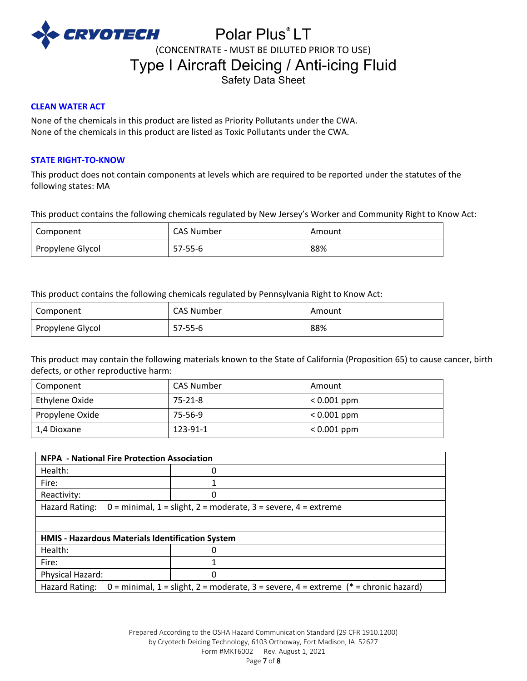

# Polar Plus® LT (CONCENTRATE - MUST BE DILUTED PRIOR TO USE) Type I Aircraft Deicing / Anti-icing Fluid Safety Data Sheet

#### **CLEAN WATER ACT**

None of the chemicals in this product are listed as Priority Pollutants under the CWA. None of the chemicals in this product are listed as Toxic Pollutants under the CWA.

#### **STATE RIGHT-TO-KNOW**

This product does not contain components at levels which are required to be reported under the statutes of the following states: MA

This product contains the following chemicals regulated by New Jersey's Worker and Community Right to Know Act:

| Component        | <b>CAS Number</b> | Amount |
|------------------|-------------------|--------|
| Propylene Glycol | $57 - 55 - 6$     | 88%    |

This product contains the following chemicals regulated by Pennsylvania Right to Know Act:

| Component        | <b>CAS Number</b> | Amount |
|------------------|-------------------|--------|
| Propylene Glycol | 57-55-6           | 88%    |

This product may contain the following materials known to the State of California (Proposition 65) to cause cancer, birth defects, or other reproductive harm:

| Component       | <b>CAS Number</b> | Amount        |
|-----------------|-------------------|---------------|
| Ethylene Oxide  | 75-21-8           | $< 0.001$ ppm |
| Propylene Oxide | 75-56-9           | $< 0.001$ ppm |
| l 1.4 Dioxane   | 123-91-1          | $< 0.001$ ppm |

| <b>NFPA - National Fire Protection Association</b>                                                      |   |  |
|---------------------------------------------------------------------------------------------------------|---|--|
| Health:                                                                                                 | 0 |  |
| Fire:                                                                                                   | 1 |  |
| Reactivity:                                                                                             | 0 |  |
| Hazard Rating:<br>$0 =$ minimal, 1 = slight, 2 = moderate, 3 = severe, 4 = extreme                      |   |  |
|                                                                                                         |   |  |
| HMIS - Hazardous Materials Identification System                                                        |   |  |
| Health:                                                                                                 | 0 |  |
| Fire:                                                                                                   | 1 |  |
| Physical Hazard:                                                                                        | 0 |  |
| 0 = minimal, 1 = slight, 2 = moderate, 3 = severe, 4 = extreme $(* =$ chronic hazard)<br>Hazard Rating: |   |  |

Prepared According to the OSHA Hazard Communication Standard (29 CFR 1910.1200) by Cryotech Deicing Technology, 6103 Orthoway, Fort Madison, IA 52627 Form #MKT6002 Rev. August 1, 2021 Page 7 of 8